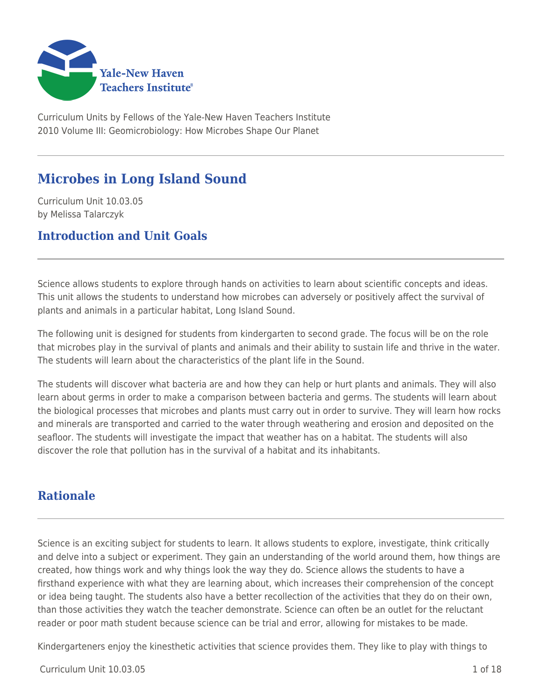

Curriculum Units by Fellows of the Yale-New Haven Teachers Institute 2010 Volume III: Geomicrobiology: How Microbes Shape Our Planet

# **Microbes in Long Island Sound**

Curriculum Unit 10.03.05 by Melissa Talarczyk

# **Introduction and Unit Goals**

Science allows students to explore through hands on activities to learn about scientific concepts and ideas. This unit allows the students to understand how microbes can adversely or positively affect the survival of plants and animals in a particular habitat, Long Island Sound.

The following unit is designed for students from kindergarten to second grade. The focus will be on the role that microbes play in the survival of plants and animals and their ability to sustain life and thrive in the water. The students will learn about the characteristics of the plant life in the Sound.

The students will discover what bacteria are and how they can help or hurt plants and animals. They will also learn about germs in order to make a comparison between bacteria and germs. The students will learn about the biological processes that microbes and plants must carry out in order to survive. They will learn how rocks and minerals are transported and carried to the water through weathering and erosion and deposited on the seafloor. The students will investigate the impact that weather has on a habitat. The students will also discover the role that pollution has in the survival of a habitat and its inhabitants.

# **Rationale**

Science is an exciting subject for students to learn. It allows students to explore, investigate, think critically and delve into a subject or experiment. They gain an understanding of the world around them, how things are created, how things work and why things look the way they do. Science allows the students to have a firsthand experience with what they are learning about, which increases their comprehension of the concept or idea being taught. The students also have a better recollection of the activities that they do on their own, than those activities they watch the teacher demonstrate. Science can often be an outlet for the reluctant reader or poor math student because science can be trial and error, allowing for mistakes to be made.

Kindergarteners enjoy the kinesthetic activities that science provides them. They like to play with things to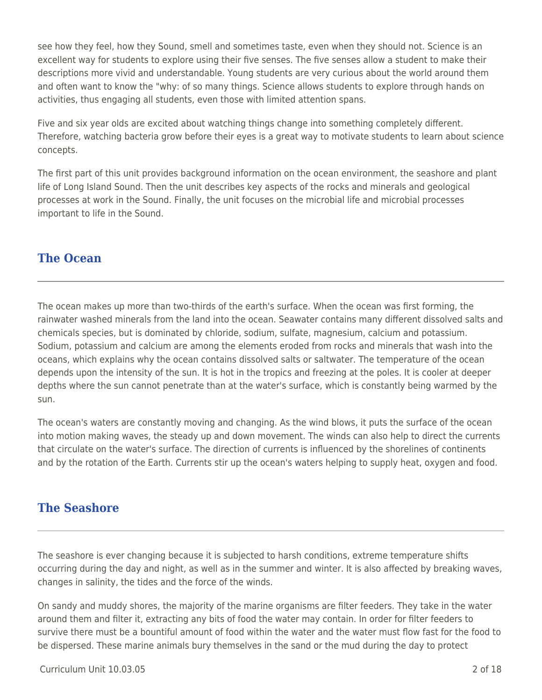see how they feel, how they Sound, smell and sometimes taste, even when they should not. Science is an excellent way for students to explore using their five senses. The five senses allow a student to make their descriptions more vivid and understandable. Young students are very curious about the world around them and often want to know the "why: of so many things. Science allows students to explore through hands on activities, thus engaging all students, even those with limited attention spans.

Five and six year olds are excited about watching things change into something completely different. Therefore, watching bacteria grow before their eyes is a great way to motivate students to learn about science concepts.

The first part of this unit provides background information on the ocean environment, the seashore and plant life of Long Island Sound. Then the unit describes key aspects of the rocks and minerals and geological processes at work in the Sound. Finally, the unit focuses on the microbial life and microbial processes important to life in the Sound.

# **The Ocean**

The ocean makes up more than two-thirds of the earth's surface. When the ocean was first forming, the rainwater washed minerals from the land into the ocean. Seawater contains many different dissolved salts and chemicals species, but is dominated by chloride, sodium, sulfate, magnesium, calcium and potassium. Sodium, potassium and calcium are among the elements eroded from rocks and minerals that wash into the oceans, which explains why the ocean contains dissolved salts or saltwater. The temperature of the ocean depends upon the intensity of the sun. It is hot in the tropics and freezing at the poles. It is cooler at deeper depths where the sun cannot penetrate than at the water's surface, which is constantly being warmed by the sun.

The ocean's waters are constantly moving and changing. As the wind blows, it puts the surface of the ocean into motion making waves, the steady up and down movement. The winds can also help to direct the currents that circulate on the water's surface. The direction of currents is influenced by the shorelines of continents and by the rotation of the Earth. Currents stir up the ocean's waters helping to supply heat, oxygen and food.

# **The Seashore**

The seashore is ever changing because it is subjected to harsh conditions, extreme temperature shifts occurring during the day and night, as well as in the summer and winter. It is also affected by breaking waves, changes in salinity, the tides and the force of the winds.

On sandy and muddy shores, the majority of the marine organisms are filter feeders. They take in the water around them and filter it, extracting any bits of food the water may contain. In order for filter feeders to survive there must be a bountiful amount of food within the water and the water must flow fast for the food to be dispersed. These marine animals bury themselves in the sand or the mud during the day to protect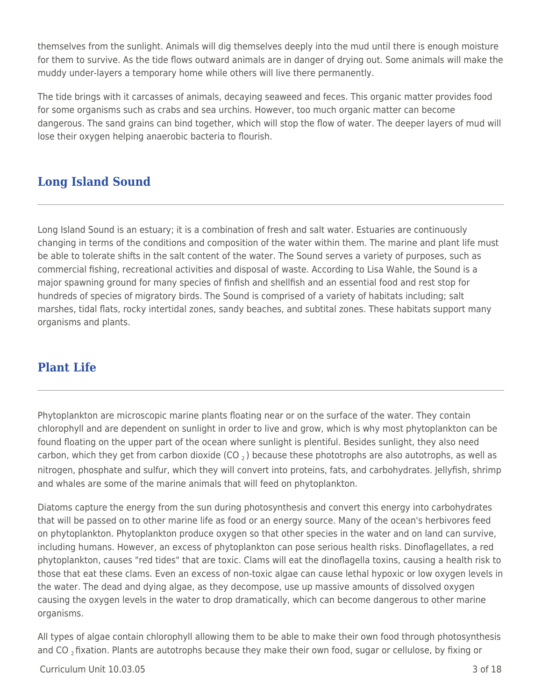themselves from the sunlight. Animals will dig themselves deeply into the mud until there is enough moisture for them to survive. As the tide flows outward animals are in danger of drying out. Some animals will make the muddy under-layers a temporary home while others will live there permanently.

The tide brings with it carcasses of animals, decaying seaweed and feces. This organic matter provides food for some organisms such as crabs and sea urchins. However, too much organic matter can become dangerous. The sand grains can bind together, which will stop the flow of water. The deeper layers of mud will lose their oxygen helping anaerobic bacteria to flourish.

# **Long Island Sound**

Long Island Sound is an estuary; it is a combination of fresh and salt water. Estuaries are continuously changing in terms of the conditions and composition of the water within them. The marine and plant life must be able to tolerate shifts in the salt content of the water. The Sound serves a variety of purposes, such as commercial fishing, recreational activities and disposal of waste. According to Lisa Wahle, the Sound is a major spawning ground for many species of finfish and shellfish and an essential food and rest stop for hundreds of species of migratory birds. The Sound is comprised of a variety of habitats including; salt marshes, tidal flats, rocky intertidal zones, sandy beaches, and subtital zones. These habitats support many organisms and plants.

# **Plant Life**

Phytoplankton are microscopic marine plants floating near or on the surface of the water. They contain chlorophyll and are dependent on sunlight in order to live and grow, which is why most phytoplankton can be found floating on the upper part of the ocean where sunlight is plentiful. Besides sunlight, they also need carbon, which they get from carbon dioxide (CO  $_2$ ) because these phototrophs are also autotrophs, as well as nitrogen, phosphate and sulfur, which they will convert into proteins, fats, and carbohydrates. Jellyfish, shrimp and whales are some of the marine animals that will feed on phytoplankton.

Diatoms capture the energy from the sun during photosynthesis and convert this energy into carbohydrates that will be passed on to other marine life as food or an energy source. Many of the ocean's herbivores feed on phytoplankton. Phytoplankton produce oxygen so that other species in the water and on land can survive, including humans. However, an excess of phytoplankton can pose serious health risks. Dinoflagellates, a red phytoplankton, causes "red tides" that are toxic. Clams will eat the dinoflagella toxins, causing a health risk to those that eat these clams. Even an excess of non-toxic algae can cause lethal hypoxic or low oxygen levels in the water. The dead and dying algae, as they decompose, use up massive amounts of dissolved oxygen causing the oxygen levels in the water to drop dramatically, which can become dangerous to other marine organisms.

All types of algae contain chlorophyll allowing them to be able to make their own food through photosynthesis and CO<sub>2</sub> fixation. Plants are autotrophs because they make their own food, sugar or cellulose, by fixing or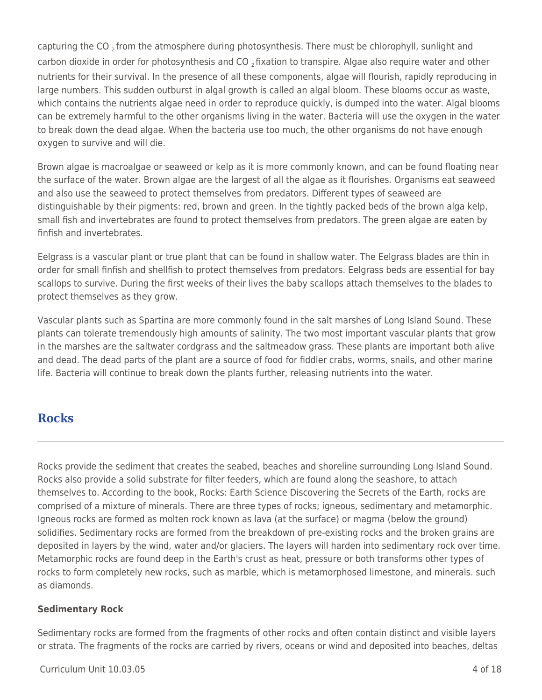capturing the CO<sub>2</sub> from the atmosphere during photosynthesis. There must be chlorophyll, sunlight and carbon dioxide in order for photosynthesis and CO  $_2$  fixation to transpire. Algae also require water and other nutrients for their survival. In the presence of all these components, algae will flourish, rapidly reproducing in large numbers. This sudden outburst in algal growth is called an algal bloom. These blooms occur as waste, which contains the nutrients algae need in order to reproduce quickly, is dumped into the water. Algal blooms can be extremely harmful to the other organisms living in the water. Bacteria will use the oxygen in the water to break down the dead algae. When the bacteria use too much, the other organisms do not have enough oxygen to survive and will die.

Brown algae is macroalgae or seaweed or kelp as it is more commonly known, and can be found floating near the surface of the water. Brown algae are the largest of all the algae as it flourishes. Organisms eat seaweed and also use the seaweed to protect themselves from predators. Different types of seaweed are distinguishable by their pigments: red, brown and green. In the tightly packed beds of the brown alga kelp, small fish and invertebrates are found to protect themselves from predators. The green algae are eaten by finfish and invertebrates.

Eelgrass is a vascular plant or true plant that can be found in shallow water. The Eelgrass blades are thin in order for small finfish and shellfish to protect themselves from predators. Eelgrass beds are essential for bay scallops to survive. During the first weeks of their lives the baby scallops attach themselves to the blades to protect themselves as they grow.

Vascular plants such as Spartina are more commonly found in the salt marshes of Long Island Sound. These plants can tolerate tremendously high amounts of salinity. The two most important vascular plants that grow in the marshes are the saltwater cordgrass and the saltmeadow grass. These plants are important both alive and dead. The dead parts of the plant are a source of food for fiddler crabs, worms, snails, and other marine life. Bacteria will continue to break down the plants further, releasing nutrients into the water.

## **Rocks**

Rocks provide the sediment that creates the seabed, beaches and shoreline surrounding Long Island Sound. Rocks also provide a solid substrate for filter feeders, which are found along the seashore, to attach themselves to. According to the book, Rocks: Earth Science Discovering the Secrets of the Earth, rocks are comprised of a mixture of minerals. There are three types of rocks; igneous, sedimentary and metamorphic. Igneous rocks are formed as molten rock known as lava (at the surface) or magma (below the ground) solidifies. Sedimentary rocks are formed from the breakdown of pre-existing rocks and the broken grains are deposited in layers by the wind, water and/or glaciers. The layers will harden into sedimentary rock over time. Metamorphic rocks are found deep in the Earth's crust as heat, pressure or both transforms other types of rocks to form completely new rocks, such as marble, which is metamorphosed limestone, and minerals. such as diamonds.

### **Sedimentary Rock**

Sedimentary rocks are formed from the fragments of other rocks and often contain distinct and visible layers or strata. The fragments of the rocks are carried by rivers, oceans or wind and deposited into beaches, deltas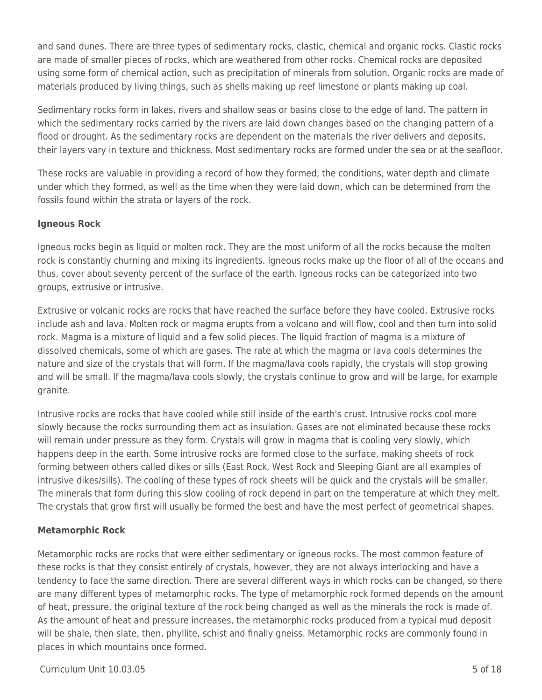and sand dunes. There are three types of sedimentary rocks, clastic, chemical and organic rocks. Clastic rocks are made of smaller pieces of rocks, which are weathered from other rocks. Chemical rocks are deposited using some form of chemical action, such as precipitation of minerals from solution. Organic rocks are made of materials produced by living things, such as shells making up reef limestone or plants making up coal.

Sedimentary rocks form in lakes, rivers and shallow seas or basins close to the edge of land. The pattern in which the sedimentary rocks carried by the rivers are laid down changes based on the changing pattern of a flood or drought. As the sedimentary rocks are dependent on the materials the river delivers and deposits, their layers vary in texture and thickness. Most sedimentary rocks are formed under the sea or at the seafloor.

These rocks are valuable in providing a record of how they formed, the conditions, water depth and climate under which they formed, as well as the time when they were laid down, which can be determined from the fossils found within the strata or layers of the rock.

### **Igneous Rock**

Igneous rocks begin as liquid or molten rock. They are the most uniform of all the rocks because the molten rock is constantly churning and mixing its ingredients. Igneous rocks make up the floor of all of the oceans and thus, cover about seventy percent of the surface of the earth. Igneous rocks can be categorized into two groups, extrusive or intrusive.

Extrusive or volcanic rocks are rocks that have reached the surface before they have cooled. Extrusive rocks include ash and lava. Molten rock or magma erupts from a volcano and will flow, cool and then turn into solid rock. Magma is a mixture of liquid and a few solid pieces. The liquid fraction of magma is a mixture of dissolved chemicals, some of which are gases. The rate at which the magma or lava cools determines the nature and size of the crystals that will form. If the magma/lava cools rapidly, the crystals will stop growing and will be small. If the magma/lava cools slowly, the crystals continue to grow and will be large, for example granite.

Intrusive rocks are rocks that have cooled while still inside of the earth's crust. Intrusive rocks cool more slowly because the rocks surrounding them act as insulation. Gases are not eliminated because these rocks will remain under pressure as they form. Crystals will grow in magma that is cooling very slowly, which happens deep in the earth. Some intrusive rocks are formed close to the surface, making sheets of rock forming between others called dikes or sills (East Rock, West Rock and Sleeping Giant are all examples of intrusive dikes/sills). The cooling of these types of rock sheets will be quick and the crystals will be smaller. The minerals that form during this slow cooling of rock depend in part on the temperature at which they melt. The crystals that grow first will usually be formed the best and have the most perfect of geometrical shapes.

### **Metamorphic Rock**

Metamorphic rocks are rocks that were either sedimentary or igneous rocks. The most common feature of these rocks is that they consist entirely of crystals, however, they are not always interlocking and have a tendency to face the same direction. There are several different ways in which rocks can be changed, so there are many different types of metamorphic rocks. The type of metamorphic rock formed depends on the amount of heat, pressure, the original texture of the rock being changed as well as the minerals the rock is made of. As the amount of heat and pressure increases, the metamorphic rocks produced from a typical mud deposit will be shale, then slate, then, phyllite, schist and finally gneiss. Metamorphic rocks are commonly found in places in which mountains once formed.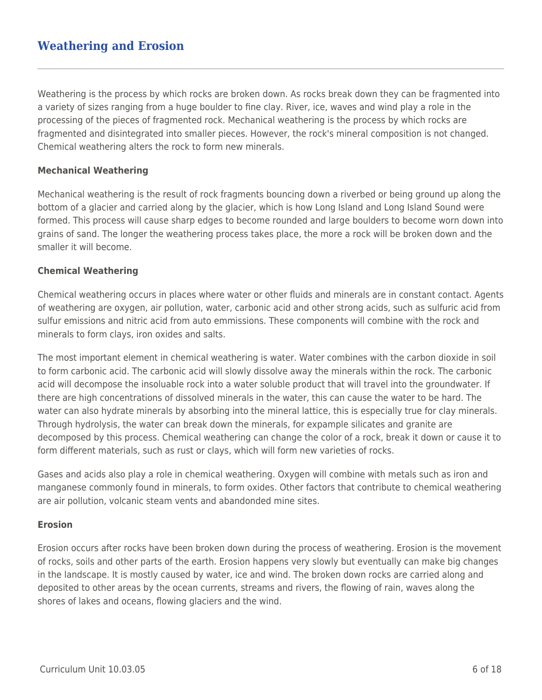# **Weathering and Erosion**

Weathering is the process by which rocks are broken down. As rocks break down they can be fragmented into a variety of sizes ranging from a huge boulder to fine clay. River, ice, waves and wind play a role in the processing of the pieces of fragmented rock. Mechanical weathering is the process by which rocks are fragmented and disintegrated into smaller pieces. However, the rock's mineral composition is not changed. Chemical weathering alters the rock to form new minerals.

#### **Mechanical Weathering**

Mechanical weathering is the result of rock fragments bouncing down a riverbed or being ground up along the bottom of a glacier and carried along by the glacier, which is how Long Island and Long Island Sound were formed. This process will cause sharp edges to become rounded and large boulders to become worn down into grains of sand. The longer the weathering process takes place, the more a rock will be broken down and the smaller it will become.

#### **Chemical Weathering**

Chemical weathering occurs in places where water or other fluids and minerals are in constant contact. Agents of weathering are oxygen, air pollution, water, carbonic acid and other strong acids, such as sulfuric acid from sulfur emissions and nitric acid from auto emmissions. These components will combine with the rock and minerals to form clays, iron oxides and salts.

The most important element in chemical weathering is water. Water combines with the carbon dioxide in soil to form carbonic acid. The carbonic acid will slowly dissolve away the minerals within the rock. The carbonic acid will decompose the insoluable rock into a water soluble product that will travel into the groundwater. If there are high concentrations of dissolved minerals in the water, this can cause the water to be hard. The water can also hydrate minerals by absorbing into the mineral lattice, this is especially true for clay minerals. Through hydrolysis, the water can break down the minerals, for expample silicates and granite are decomposed by this process. Chemical weathering can change the color of a rock, break it down or cause it to form different materials, such as rust or clays, which will form new varieties of rocks.

Gases and acids also play a role in chemical weathering. Oxygen will combine with metals such as iron and manganese commonly found in minerals, to form oxides. Other factors that contribute to chemical weathering are air pollution, volcanic steam vents and abandonded mine sites.

#### **Erosion**

Erosion occurs after rocks have been broken down during the process of weathering. Erosion is the movement of rocks, soils and other parts of the earth. Erosion happens very slowly but eventually can make big changes in the landscape. It is mostly caused by water, ice and wind. The broken down rocks are carried along and deposited to other areas by the ocean currents, streams and rivers, the flowing of rain, waves along the shores of lakes and oceans, flowing glaciers and the wind.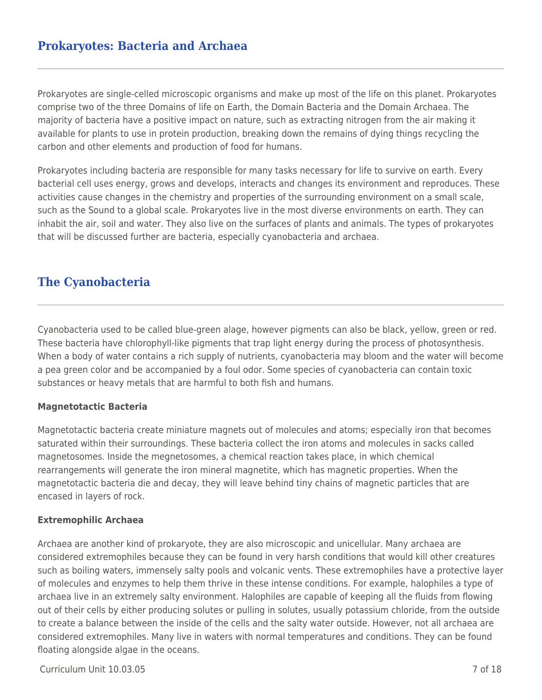# **Prokaryotes: Bacteria and Archaea**

Prokaryotes are single-celled microscopic organisms and make up most of the life on this planet. Prokaryotes comprise two of the three Domains of life on Earth, the Domain Bacteria and the Domain Archaea. The majority of bacteria have a positive impact on nature, such as extracting nitrogen from the air making it available for plants to use in protein production, breaking down the remains of dying things recycling the carbon and other elements and production of food for humans.

Prokaryotes including bacteria are responsible for many tasks necessary for life to survive on earth. Every bacterial cell uses energy, grows and develops, interacts and changes its environment and reproduces. These activities cause changes in the chemistry and properties of the surrounding environment on a small scale, such as the Sound to a global scale. Prokaryotes live in the most diverse environments on earth. They can inhabit the air, soil and water. They also live on the surfaces of plants and animals. The types of prokaryotes that will be discussed further are bacteria, especially cyanobacteria and archaea.

## **The Cyanobacteria**

Cyanobacteria used to be called blue-green alage, however pigments can also be black, yellow, green or red. These bacteria have chlorophyll-like pigments that trap light energy during the process of photosynthesis. When a body of water contains a rich supply of nutrients, cyanobacteria may bloom and the water will become a pea green color and be accompanied by a foul odor. Some species of cyanobacteria can contain toxic substances or heavy metals that are harmful to both fish and humans.

#### **Magnetotactic Bacteria**

Magnetotactic bacteria create miniature magnets out of molecules and atoms; especially iron that becomes saturated within their surroundings. These bacteria collect the iron atoms and molecules in sacks called magnetosomes. Inside the megnetosomes, a chemical reaction takes place, in which chemical rearrangements will generate the iron mineral magnetite, which has magnetic properties. When the magnetotactic bacteria die and decay, they will leave behind tiny chains of magnetic particles that are encased in layers of rock.

#### **Extremophilic Archaea**

Archaea are another kind of prokaryote, they are also microscopic and unicellular. Many archaea are considered extremophiles because they can be found in very harsh conditions that would kill other creatures such as boiling waters, immensely salty pools and volcanic vents. These extremophiles have a protective layer of molecules and enzymes to help them thrive in these intense conditions. For example, halophiles a type of archaea live in an extremely salty environment. Halophiles are capable of keeping all the fluids from flowing out of their cells by either producing solutes or pulling in solutes, usually potassium chloride, from the outside to create a balance between the inside of the cells and the salty water outside. However, not all archaea are considered extremophiles. Many live in waters with normal temperatures and conditions. They can be found floating alongside algae in the oceans.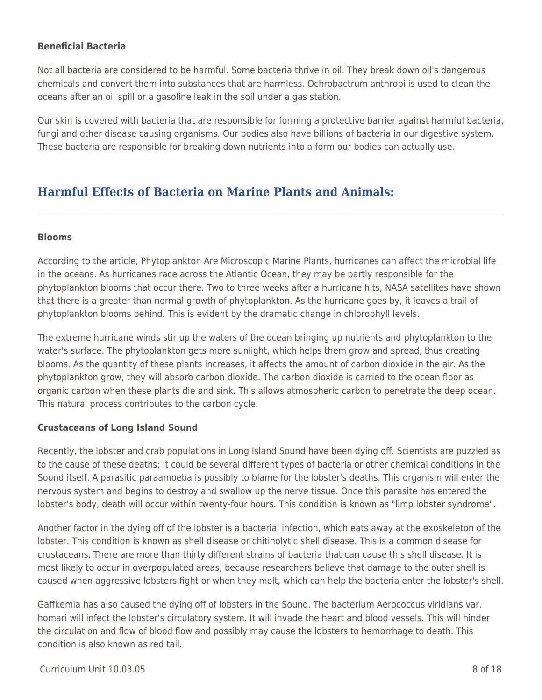#### **Beneficial Bacteria**

Not all bacteria are considered to be harmful. Some bacteria thrive in oil. They break down oil's dangerous chemicals and convert them into substances that are harmless. Ochrobactrum anthropi is used to clean the oceans after an oil spill or a gasoline leak in the soil under a gas station.

Our skin is covered with bacteria that are responsible for forming a protective barrier against harmful bacteria, fungi and other disease causing organisms. Our bodies also have billions of bacteria in our digestive system. These bacteria are responsible for breaking down nutrients into a form our bodies can actually use.

# **Harmful Effects of Bacteria on Marine Plants and Animals:**

#### **Blooms**

According to the article, Phytoplankton Are Microscopic Marine Plants, hurricanes can affect the microbial life in the oceans. As hurricanes race across the Atlantic Ocean, they may be partly responsible for the phytoplankton blooms that occur there. Two to three weeks after a hurricane hits, NASA satellites have shown that there is a greater than normal growth of phytoplankton. As the hurricane goes by, it leaves a trail of phytoplankton blooms behind. This is evident by the dramatic change in chlorophyll levels.

The extreme hurricane winds stir up the waters of the ocean bringing up nutrients and phytoplankton to the water's surface. The phytoplankton gets more sunlight, which helps them grow and spread, thus creating blooms. As the quantity of these plants increases, it affects the amount of carbon dioxide in the air. As the phytoplankton grow, they will absorb carbon dioxide. The carbon dioxide is carried to the ocean floor as organic carbon when these plants die and sink. This allows atmospheric carbon to penetrate the deep ocean. This natural process contributes to the carbon cycle.

#### **Crustaceans of Long Island Sound**

Recently, the lobster and crab populations in Long Island Sound have been dying off. Scientists are puzzled as to the cause of these deaths; it could be several different types of bacteria or other chemical conditions in the Sound itself. A parasitic paraamoeba is possibly to blame for the lobster's deaths. This organism will enter the nervous system and begins to destroy and swallow up the nerve tissue. Once this parasite has entered the lobster's body, death will occur within twenty-four hours. This condition is known as "limp lobster syndrome".

Another factor in the dying off of the lobster is a bacterial infection, which eats away at the exoskeleton of the lobster. This condition is known as shell disease or chitinolytic shell disease. This is a common disease for crustaceans. There are more than thirty different strains of bacteria that can cause this shell disease. It is most likely to occur in overpopulated areas, because researchers believe that damage to the outer shell is caused when aggressive lobsters fight or when they molt, which can help the bacteria enter the lobster's shell.

Gaffkemia has also caused the dying off of lobsters in the Sound. The bacterium Aerococcus viridians var. homari will infect the lobster's circulatory system. It will invade the heart and blood vessels. This will hinder the circulation and flow of blood flow and possibly may cause the lobsters to hemorrhage to death. This condition is also known as red tail.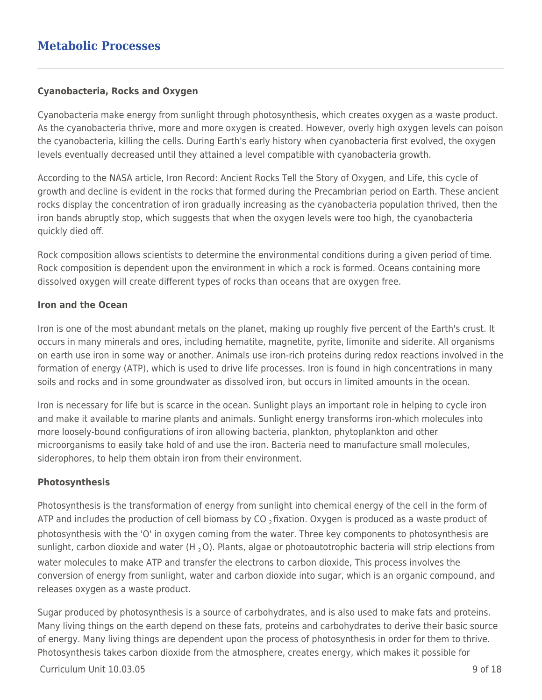### **Cyanobacteria, Rocks and Oxygen**

Cyanobacteria make energy from sunlight through photosynthesis, which creates oxygen as a waste product. As the cyanobacteria thrive, more and more oxygen is created. However, overly high oxygen levels can poison the cyanobacteria, killing the cells. During Earth's early history when cyanobacteria first evolved, the oxygen levels eventually decreased until they attained a level compatible with cyanobacteria growth.

According to the NASA article, Iron Record: Ancient Rocks Tell the Story of Oxygen, and Life, this cycle of growth and decline is evident in the rocks that formed during the Precambrian period on Earth. These ancient rocks display the concentration of iron gradually increasing as the cyanobacteria population thrived, then the iron bands abruptly stop, which suggests that when the oxygen levels were too high, the cyanobacteria quickly died off.

Rock composition allows scientists to determine the environmental conditions during a given period of time. Rock composition is dependent upon the environment in which a rock is formed. Oceans containing more dissolved oxygen will create different types of rocks than oceans that are oxygen free.

#### **Iron and the Ocean**

Iron is one of the most abundant metals on the planet, making up roughly five percent of the Earth's crust. It occurs in many minerals and ores, including hematite, magnetite, pyrite, limonite and siderite. All organisms on earth use iron in some way or another. Animals use iron-rich proteins during redox reactions involved in the formation of energy (ATP), which is used to drive life processes. Iron is found in high concentrations in many soils and rocks and in some groundwater as dissolved iron, but occurs in limited amounts in the ocean.

Iron is necessary for life but is scarce in the ocean. Sunlight plays an important role in helping to cycle iron and make it available to marine plants and animals. Sunlight energy transforms iron-which molecules into more loosely-bound configurations of iron allowing bacteria, plankton, phytoplankton and other microorganisms to easily take hold of and use the iron. Bacteria need to manufacture small molecules, siderophores, to help them obtain iron from their environment.

### **Photosynthesis**

Photosynthesis is the transformation of energy from sunlight into chemical energy of the cell in the form of ATP and includes the production of cell biomass by CO  $_2$  fixation. Oxygen is produced as a waste product of photosynthesis with the 'O' in oxygen coming from the water. Three key components to photosynthesis are sunlight, carbon dioxide and water (H<sub>2</sub>O). Plants, algae or photoautotrophic bacteria will strip elections from water molecules to make ATP and transfer the electrons to carbon dioxide, This process involves the conversion of energy from sunlight, water and carbon dioxide into sugar, which is an organic compound, and releases oxygen as a waste product.

Sugar produced by photosynthesis is a source of carbohydrates, and is also used to make fats and proteins. Many living things on the earth depend on these fats, proteins and carbohydrates to derive their basic source of energy. Many living things are dependent upon the process of photosynthesis in order for them to thrive. Photosynthesis takes carbon dioxide from the atmosphere, creates energy, which makes it possible for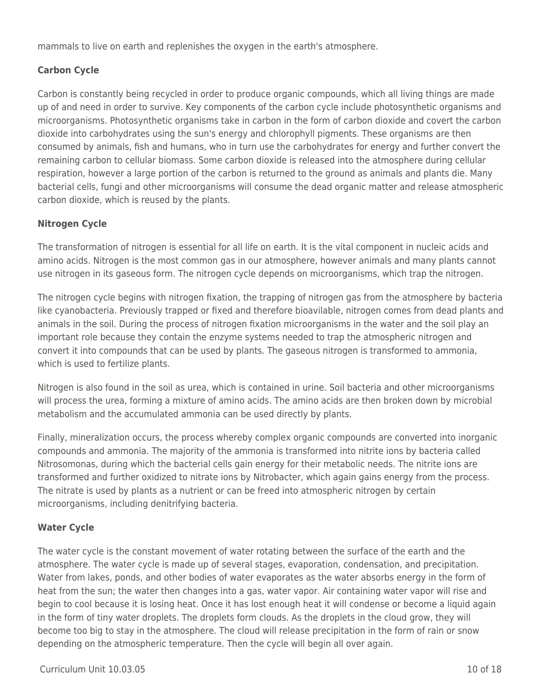mammals to live on earth and replenishes the oxygen in the earth's atmosphere.

## **Carbon Cycle**

Carbon is constantly being recycled in order to produce organic compounds, which all living things are made up of and need in order to survive. Key components of the carbon cycle include photosynthetic organisms and microorganisms. Photosynthetic organisms take in carbon in the form of carbon dioxide and covert the carbon dioxide into carbohydrates using the sun's energy and chlorophyll pigments. These organisms are then consumed by animals, fish and humans, who in turn use the carbohydrates for energy and further convert the remaining carbon to cellular biomass. Some carbon dioxide is released into the atmosphere during cellular respiration, however a large portion of the carbon is returned to the ground as animals and plants die. Many bacterial cells, fungi and other microorganisms will consume the dead organic matter and release atmospheric carbon dioxide, which is reused by the plants.

## **Nitrogen Cycle**

The transformation of nitrogen is essential for all life on earth. It is the vital component in nucleic acids and amino acids. Nitrogen is the most common gas in our atmosphere, however animals and many plants cannot use nitrogen in its gaseous form. The nitrogen cycle depends on microorganisms, which trap the nitrogen.

The nitrogen cycle begins with nitrogen fixation, the trapping of nitrogen gas from the atmosphere by bacteria like cyanobacteria. Previously trapped or fixed and therefore bioavilable, nitrogen comes from dead plants and animals in the soil. During the process of nitrogen fixation microorganisms in the water and the soil play an important role because they contain the enzyme systems needed to trap the atmospheric nitrogen and convert it into compounds that can be used by plants. The gaseous nitrogen is transformed to ammonia, which is used to fertilize plants.

Nitrogen is also found in the soil as urea, which is contained in urine. Soil bacteria and other microorganisms will process the urea, forming a mixture of amino acids. The amino acids are then broken down by microbial metabolism and the accumulated ammonia can be used directly by plants.

Finally, mineralization occurs, the process whereby complex organic compounds are converted into inorganic compounds and ammonia. The majority of the ammonia is transformed into nitrite ions by bacteria called Nitrosomonas, during which the bacterial cells gain energy for their metabolic needs. The nitrite ions are transformed and further oxidized to nitrate ions by Nitrobacter, which again gains energy from the process. The nitrate is used by plants as a nutrient or can be freed into atmospheric nitrogen by certain microorganisms, including denitrifying bacteria.

### **Water Cycle**

The water cycle is the constant movement of water rotating between the surface of the earth and the atmosphere. The water cycle is made up of several stages, evaporation, condensation, and precipitation. Water from lakes, ponds, and other bodies of water evaporates as the water absorbs energy in the form of heat from the sun; the water then changes into a gas, water vapor. Air containing water vapor will rise and begin to cool because it is losing heat. Once it has lost enough heat it will condense or become a liquid again in the form of tiny water droplets. The droplets form clouds. As the droplets in the cloud grow, they will become too big to stay in the atmosphere. The cloud will release precipitation in the form of rain or snow depending on the atmospheric temperature. Then the cycle will begin all over again.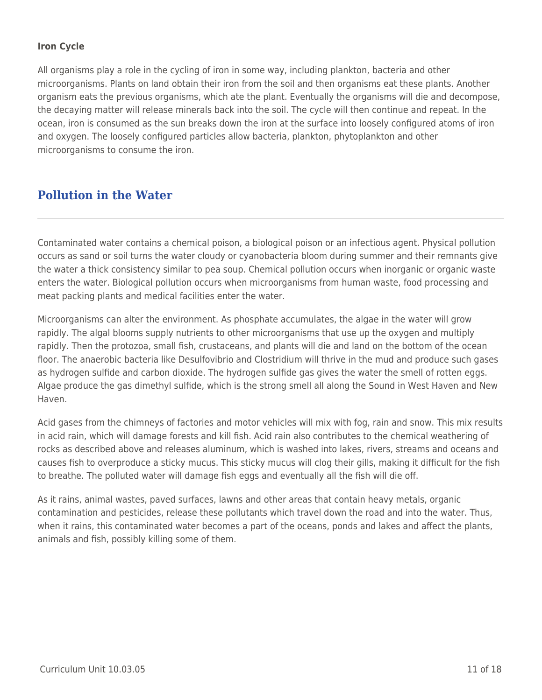## **Iron Cycle**

All organisms play a role in the cycling of iron in some way, including plankton, bacteria and other microorganisms. Plants on land obtain their iron from the soil and then organisms eat these plants. Another organism eats the previous organisms, which ate the plant. Eventually the organisms will die and decompose, the decaying matter will release minerals back into the soil. The cycle will then continue and repeat. In the ocean, iron is consumed as the sun breaks down the iron at the surface into loosely configured atoms of iron and oxygen. The loosely configured particles allow bacteria, plankton, phytoplankton and other microorganisms to consume the iron.

# **Pollution in the Water**

Contaminated water contains a chemical poison, a biological poison or an infectious agent. Physical pollution occurs as sand or soil turns the water cloudy or cyanobacteria bloom during summer and their remnants give the water a thick consistency similar to pea soup. Chemical pollution occurs when inorganic or organic waste enters the water. Biological pollution occurs when microorganisms from human waste, food processing and meat packing plants and medical facilities enter the water.

Microorganisms can alter the environment. As phosphate accumulates, the algae in the water will grow rapidly. The algal blooms supply nutrients to other microorganisms that use up the oxygen and multiply rapidly. Then the protozoa, small fish, crustaceans, and plants will die and land on the bottom of the ocean floor. The anaerobic bacteria like Desulfovibrio and Clostridium will thrive in the mud and produce such gases as hydrogen sulfide and carbon dioxide. The hydrogen sulfide gas gives the water the smell of rotten eggs. Algae produce the gas dimethyl sulfide, which is the strong smell all along the Sound in West Haven and New Haven.

Acid gases from the chimneys of factories and motor vehicles will mix with fog, rain and snow. This mix results in acid rain, which will damage forests and kill fish. Acid rain also contributes to the chemical weathering of rocks as described above and releases aluminum, which is washed into lakes, rivers, streams and oceans and causes fish to overproduce a sticky mucus. This sticky mucus will clog their gills, making it difficult for the fish to breathe. The polluted water will damage fish eggs and eventually all the fish will die off.

As it rains, animal wastes, paved surfaces, lawns and other areas that contain heavy metals, organic contamination and pesticides, release these pollutants which travel down the road and into the water. Thus, when it rains, this contaminated water becomes a part of the oceans, ponds and lakes and affect the plants, animals and fish, possibly killing some of them.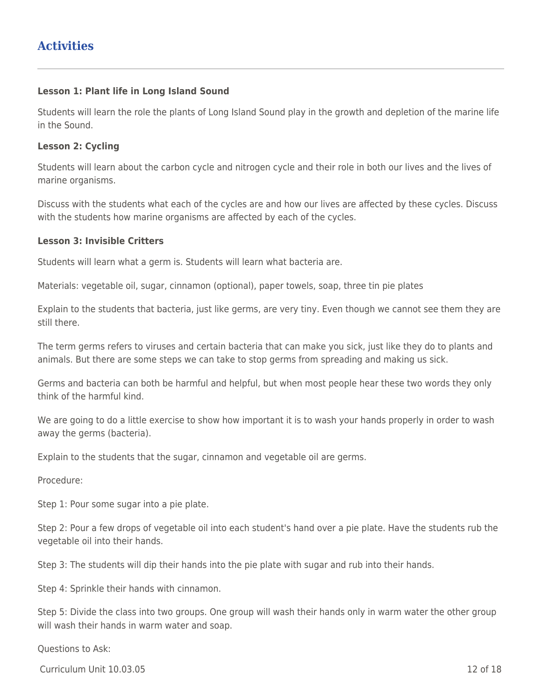#### **Lesson 1: Plant life in Long Island Sound**

Students will learn the role the plants of Long Island Sound play in the growth and depletion of the marine life in the Sound.

#### **Lesson 2: Cycling**

Students will learn about the carbon cycle and nitrogen cycle and their role in both our lives and the lives of marine organisms.

Discuss with the students what each of the cycles are and how our lives are affected by these cycles. Discuss with the students how marine organisms are affected by each of the cycles.

#### **Lesson 3: Invisible Critters**

Students will learn what a germ is. Students will learn what bacteria are.

Materials: vegetable oil, sugar, cinnamon (optional), paper towels, soap, three tin pie plates

Explain to the students that bacteria, just like germs, are very tiny. Even though we cannot see them they are still there.

The term germs refers to viruses and certain bacteria that can make you sick, just like they do to plants and animals. But there are some steps we can take to stop germs from spreading and making us sick.

Germs and bacteria can both be harmful and helpful, but when most people hear these two words they only think of the harmful kind.

We are going to do a little exercise to show how important it is to wash your hands properly in order to wash away the germs (bacteria).

Explain to the students that the sugar, cinnamon and vegetable oil are germs.

Procedure:

Step 1: Pour some sugar into a pie plate.

Step 2: Pour a few drops of vegetable oil into each student's hand over a pie plate. Have the students rub the vegetable oil into their hands.

Step 3: The students will dip their hands into the pie plate with sugar and rub into their hands.

Step 4: Sprinkle their hands with cinnamon.

Step 5: Divide the class into two groups. One group will wash their hands only in warm water the other group will wash their hands in warm water and soap.

Questions to Ask:

 $C$ urriculum Unit  $10.03.05$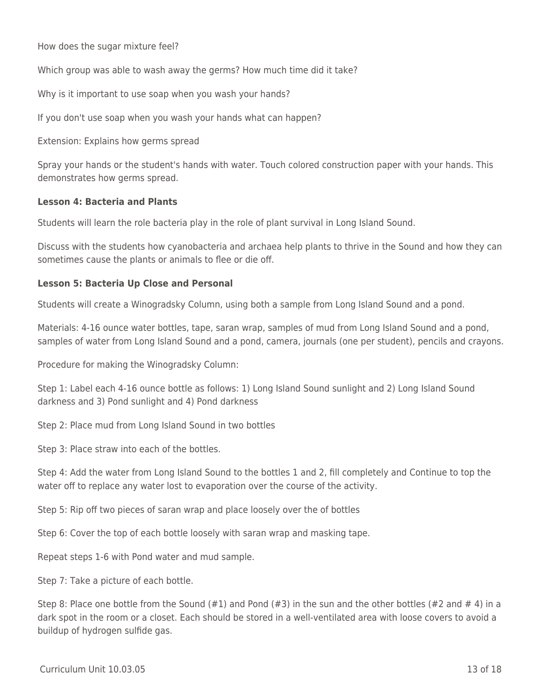How does the sugar mixture feel?

Which group was able to wash away the germs? How much time did it take?

Why is it important to use soap when you wash your hands?

If you don't use soap when you wash your hands what can happen?

Extension: Explains how germs spread

Spray your hands or the student's hands with water. Touch colored construction paper with your hands. This demonstrates how germs spread.

#### **Lesson 4: Bacteria and Plants**

Students will learn the role bacteria play in the role of plant survival in Long Island Sound.

Discuss with the students how cyanobacteria and archaea help plants to thrive in the Sound and how they can sometimes cause the plants or animals to flee or die off.

#### **Lesson 5: Bacteria Up Close and Personal**

Students will create a Winogradsky Column, using both a sample from Long Island Sound and a pond.

Materials: 4-16 ounce water bottles, tape, saran wrap, samples of mud from Long Island Sound and a pond, samples of water from Long Island Sound and a pond, camera, journals (one per student), pencils and crayons.

Procedure for making the Winogradsky Column:

Step 1: Label each 4-16 ounce bottle as follows: 1) Long Island Sound sunlight and 2) Long Island Sound darkness and 3) Pond sunlight and 4) Pond darkness

Step 2: Place mud from Long Island Sound in two bottles

Step 3: Place straw into each of the bottles.

Step 4: Add the water from Long Island Sound to the bottles 1 and 2, fill completely and Continue to top the water off to replace any water lost to evaporation over the course of the activity.

Step 5: Rip off two pieces of saran wrap and place loosely over the of bottles

Step 6: Cover the top of each bottle loosely with saran wrap and masking tape.

Repeat steps 1-6 with Pond water and mud sample.

Step 7: Take a picture of each bottle.

Step 8: Place one bottle from the Sound  $(#1)$  and Pond  $(*3)$  in the sun and the other bottles  $(*2$  and  $*4$ ) in a dark spot in the room or a closet. Each should be stored in a well-ventilated area with loose covers to avoid a buildup of hydrogen sulfide gas.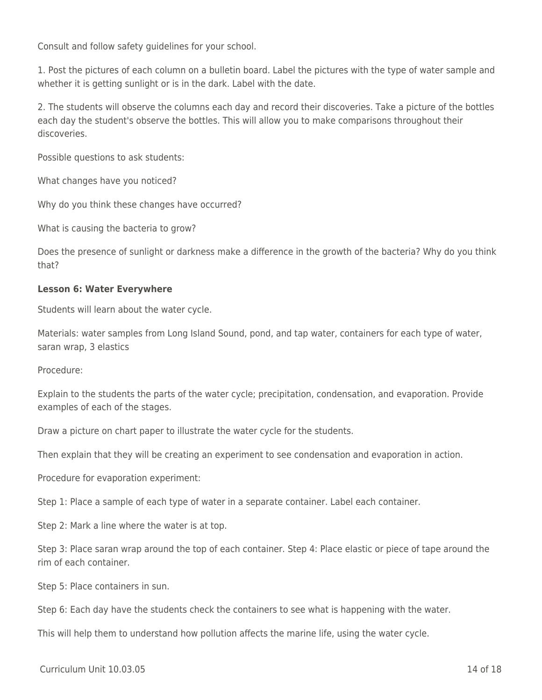Consult and follow safety guidelines for your school.

1. Post the pictures of each column on a bulletin board. Label the pictures with the type of water sample and whether it is getting sunlight or is in the dark. Label with the date.

2. The students will observe the columns each day and record their discoveries. Take a picture of the bottles each day the student's observe the bottles. This will allow you to make comparisons throughout their discoveries.

Possible questions to ask students:

What changes have you noticed?

Why do you think these changes have occurred?

What is causing the bacteria to grow?

Does the presence of sunlight or darkness make a difference in the growth of the bacteria? Why do you think that?

#### **Lesson 6: Water Everywhere**

Students will learn about the water cycle.

Materials: water samples from Long Island Sound, pond, and tap water, containers for each type of water, saran wrap, 3 elastics

Procedure:

Explain to the students the parts of the water cycle; precipitation, condensation, and evaporation. Provide examples of each of the stages.

Draw a picture on chart paper to illustrate the water cycle for the students.

Then explain that they will be creating an experiment to see condensation and evaporation in action.

Procedure for evaporation experiment:

Step 1: Place a sample of each type of water in a separate container. Label each container.

Step 2: Mark a line where the water is at top.

Step 3: Place saran wrap around the top of each container. Step 4: Place elastic or piece of tape around the rim of each container.

Step 5: Place containers in sun.

Step 6: Each day have the students check the containers to see what is happening with the water.

This will help them to understand how pollution affects the marine life, using the water cycle.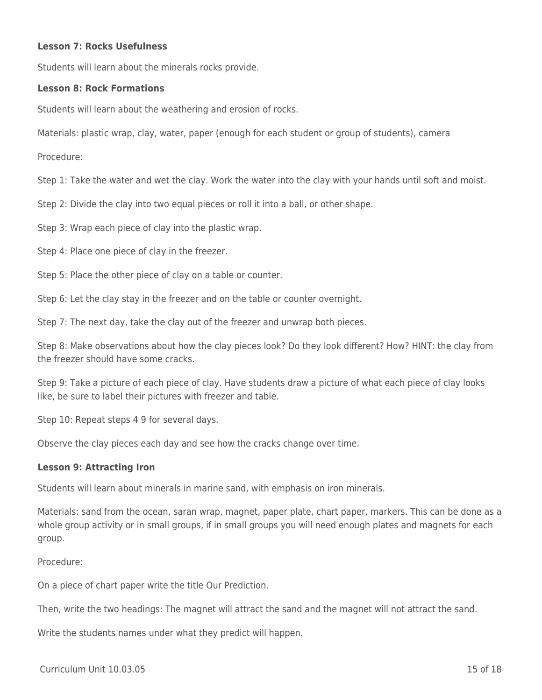#### **Lesson 7: Rocks Usefulness**

Students will learn about the minerals rocks provide.

#### **Lesson 8: Rock Formations**

Students will learn about the weathering and erosion of rocks.

Materials: plastic wrap, clay, water, paper (enough for each student or group of students), camera

Procedure:

Step 1: Take the water and wet the clay. Work the water into the clay with your hands until soft and moist.

Step 2: Divide the clay into two equal pieces or roll it into a ball, or other shape.

Step 3: Wrap each piece of clay into the plastic wrap.

Step 4: Place one piece of clay in the freezer.

Step 5: Place the other piece of clay on a table or counter.

Step 6: Let the clay stay in the freezer and on the table or counter overnight.

Step 7: The next day, take the clay out of the freezer and unwrap both pieces.

Step 8: Make observations about how the clay pieces look? Do they look different? How? HINT: the clay from the freezer should have some cracks.

Step 9: Take a picture of each piece of clay. Have students draw a picture of what each piece of clay looks like, be sure to label their pictures with freezer and table.

Step 10: Repeat steps 4 9 for several days.

Observe the clay pieces each day and see how the cracks change over time.

#### **Lesson 9: Attracting Iron**

Students will learn about minerals in marine sand, with emphasis on iron minerals.

Materials: sand from the ocean, saran wrap, magnet, paper plate, chart paper, markers. This can be done as a whole group activity or in small groups, if in small groups you will need enough plates and magnets for each group.

Procedure:

On a piece of chart paper write the title Our Prediction.

Then, write the two headings: The magnet will attract the sand and the magnet will not attract the sand.

Write the students names under what they predict will happen.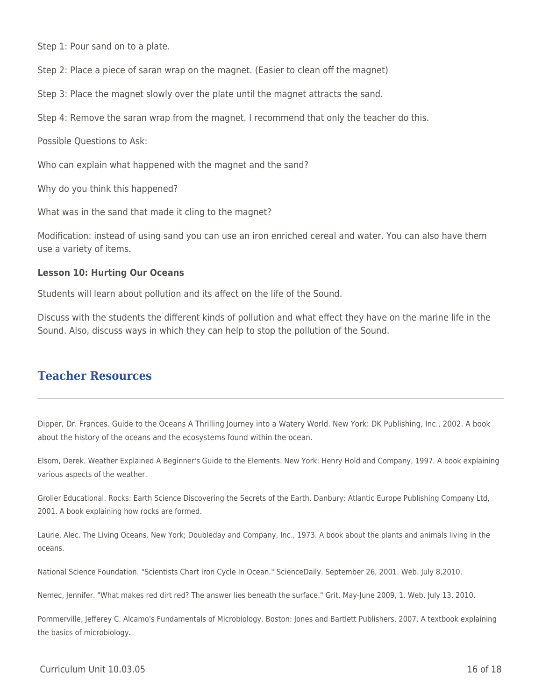Step 1: Pour sand on to a plate.

Step 2: Place a piece of saran wrap on the magnet. (Easier to clean off the magnet)

Step 3: Place the magnet slowly over the plate until the magnet attracts the sand.

Step 4: Remove the saran wrap from the magnet. I recommend that only the teacher do this.

Possible Questions to Ask:

Who can explain what happened with the magnet and the sand?

Why do you think this happened?

What was in the sand that made it cling to the magnet?

Modification: instead of using sand you can use an iron enriched cereal and water. You can also have them use a variety of items.

#### **Lesson 10: Hurting Our Oceans**

Students will learn about pollution and its affect on the life of the Sound.

Discuss with the students the different kinds of pollution and what effect they have on the marine life in the Sound. Also, discuss ways in which they can help to stop the pollution of the Sound.

## **Teacher Resources**

Dipper, Dr. Frances. Guide to the Oceans A Thrilling Journey into a Watery World. New York: DK Publishing, Inc., 2002. A book about the history of the oceans and the ecosystems found within the ocean.

Elsom, Derek. Weather Explained A Beginner's Guide to the Elements. New York: Henry Hold and Company, 1997. A book explaining various aspects of the weather.

Grolier Educational. Rocks: Earth Science Discovering the Secrets of the Earth. Danbury: Atlantic Europe Publishing Company Ltd, 2001. A book explaining how rocks are formed.

Laurie, Alec. The Living Oceans. New York; Doubleday and Company, Inc., 1973. A book about the plants and animals living in the oceans.

National Science Foundation. "Scientists Chart iron Cycle In Ocean." ScienceDaily. September 26, 2001. Web. July 8,2010.

Nemec, Jennifer. "What makes red dirt red? The answer lies beneath the surface." Grit. May-June 2009, 1. Web. July 13, 2010.

Pommerville, Jefferey C. Alcamo's Fundamentals of Microbiology. Boston: Jones and Bartlett Publishers, 2007. A textbook explaining the basics of microbiology.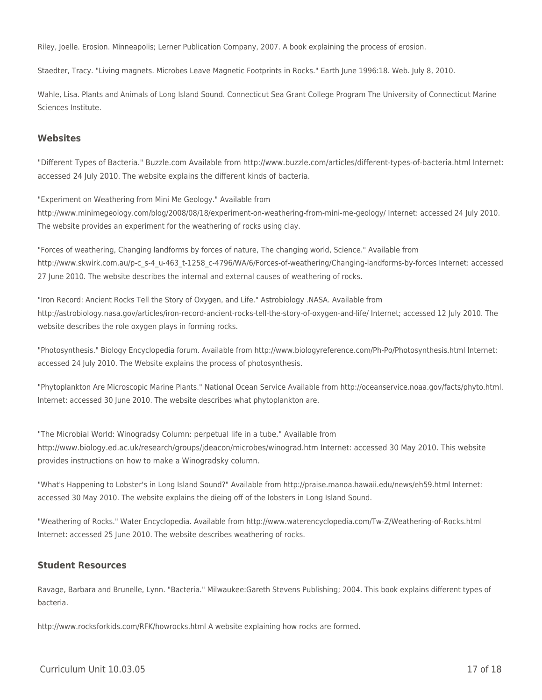Riley, Joelle. Erosion. Minneapolis; Lerner Publication Company, 2007. A book explaining the process of erosion.

Staedter, Tracy. "Living magnets. Microbes Leave Magnetic Footprints in Rocks." Earth June 1996:18. Web. July 8, 2010.

Wahle, Lisa. Plants and Animals of Long Island Sound. Connecticut Sea Grant College Program The University of Connecticut Marine Sciences Institute.

#### **Websites**

"Different Types of Bacteria." Buzzle.com Available from http://www.buzzle.com/articles/different-types-of-bacteria.html Internet: accessed 24 July 2010. The website explains the different kinds of bacteria.

"Experiment on Weathering from Mini Me Geology." Available from http://www.minimegeology.com/blog/2008/08/18/experiment-on-weathering-from-mini-me-geology/ Internet: accessed 24 July 2010. The website provides an experiment for the weathering of rocks using clay.

"Forces of weathering, Changing landforms by forces of nature, The changing world, Science." Available from http://www.skwirk.com.au/p-c\_s-4\_u-463\_t-1258\_c-4796/WA/6/Forces-of-weathering/Changing-landforms-by-forces Internet: accessed 27 June 2010. The website describes the internal and external causes of weathering of rocks.

"Iron Record: Ancient Rocks Tell the Story of Oxygen, and Life." Astrobiology .NASA. Available from http://astrobiology.nasa.gov/articles/iron-record-ancient-rocks-tell-the-story-of-oxygen-and-life/ Internet; accessed 12 July 2010. The website describes the role oxygen plays in forming rocks.

"Photosynthesis." Biology Encyclopedia forum. Available from http://www.biologyreference.com/Ph-Po/Photosynthesis.html Internet: accessed 24 July 2010. The Website explains the process of photosynthesis.

"Phytoplankton Are Microscopic Marine Plants." National Ocean Service Available from http://oceanservice.noaa.gov/facts/phyto.html. Internet: accessed 30 June 2010. The website describes what phytoplankton are.

"The Microbial World: Winogradsy Column: perpetual life in a tube." Available from http://www.biology.ed.ac.uk/research/groups/jdeacon/microbes/winograd.htm Internet: accessed 30 May 2010. This website provides instructions on how to make a Winogradsky column.

"What's Happening to Lobster's in Long Island Sound?" Available from http://praise.manoa.hawaii.edu/news/eh59.html Internet: accessed 30 May 2010. The website explains the dieing off of the lobsters in Long Island Sound.

"Weathering of Rocks." Water Encyclopedia. Available from http://www.waterencyclopedia.com/Tw-Z/Weathering-of-Rocks.html Internet: accessed 25 June 2010. The website describes weathering of rocks.

#### **Student Resources**

Ravage, Barbara and Brunelle, Lynn. "Bacteria." Milwaukee:Gareth Stevens Publishing; 2004. This book explains different types of bacteria.

http://www.rocksforkids.com/RFK/howrocks.html A website explaining how rocks are formed.